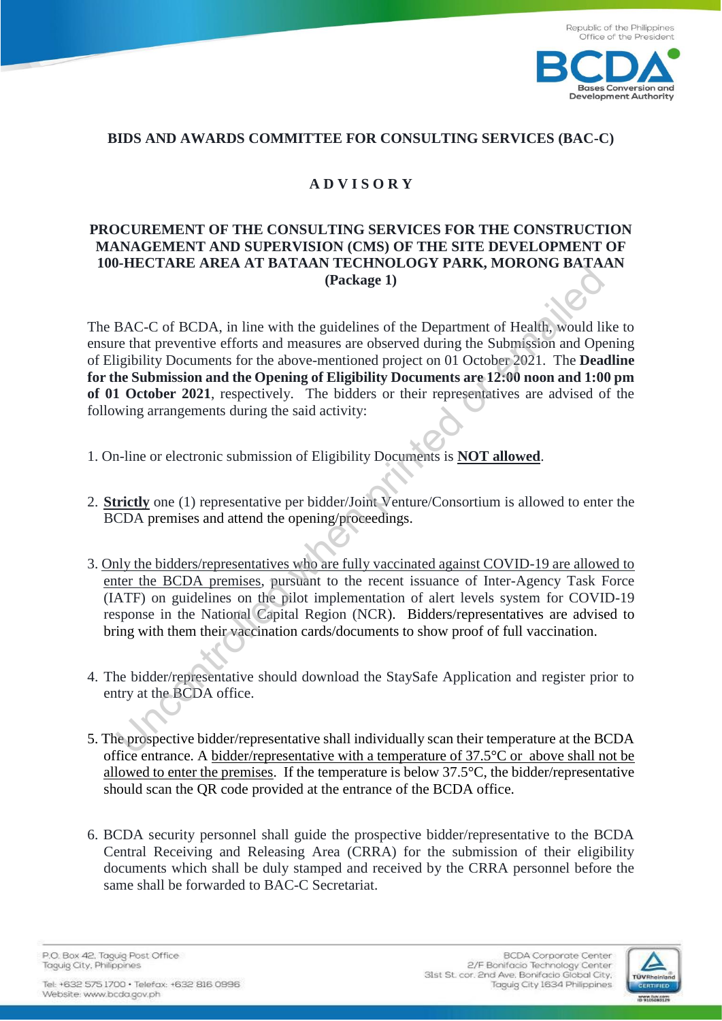

## **BIDS AND AWARDS COMMITTEE FOR CONSULTING SERVICES (BAC-C)**

## **A D V I S O R Y**

## **PROCUREMENT OF THE CONSULTING SERVICES FOR THE CONSTRUCTION MANAGEMENT AND SUPERVISION (CMS) OF THE SITE DEVELOPMENT OF 100-HECTARE AREA AT BATAAN TECHNOLOGY PARK, MORONG BATAAN (Package 1)**

The BAC-C of BCDA, in line with the guidelines of the Department of Health, would like to ensure that preventive efforts and measures are observed during the Submission and Opening of Eligibility Documents for the above-mentioned project on 01 October 2021.The **Deadline for the Submission and the Opening of Eligibility Documents are 12:00 noon and 1:00 pm of 01 October 2021**, respectively. The bidders or their representatives are advised of the following arrangements during the said activity: (Package 1)<br>
(Package 1)<br>
BAC-C of BCDA, in line with the guidelines of the Department of Health, would li<br>
re that preventive efforts and measures are observed during the Submission and Ope<br>
re that preventive efforts an

- 1. On-line or electronic submission of Eligibility Documents is **NOT allowed**.
- 2. **Strictly** one (1) representative per bidder/Joint Venture/Consortium is allowed to enter the BCDA premises and attend the opening/proceedings.
- 3. Only the bidders/representatives who are fully vaccinated against COVID-19 are allowed to enter the BCDA premises, pursuant to the recent issuance of Inter-Agency Task Force (IATF) on guidelines on the pilot implementation of alert levels system for COVID-19 response in the National Capital Region (NCR). Bidders/representatives are advised to bring with them their vaccination cards/documents to show proof of full vaccination.
- 4. The bidder/representative should download the StaySafe Application and register prior to entry at the BCDA office.
- 5. The prospective bidder/representative shall individually scan their temperature at the BCDA office entrance. A bidder/representative with a temperature of 37.5°C or above shall not be allowed to enter the premises. If the temperature is below  $37.5^{\circ}$ C, the bidder/representative should scan the QR code provided at the entrance of the BCDA office.
- 6. BCDA security personnel shall guide the prospective bidder/representative to the BCDA Central Receiving and Releasing Area (CRRA) for the submission of their eligibility documents which shall be duly stamped and received by the CRRA personnel before the same shall be forwarded to BAC-C Secretariat.

P.O. Box 42, Taguig Post Office Taguig City, Philippines